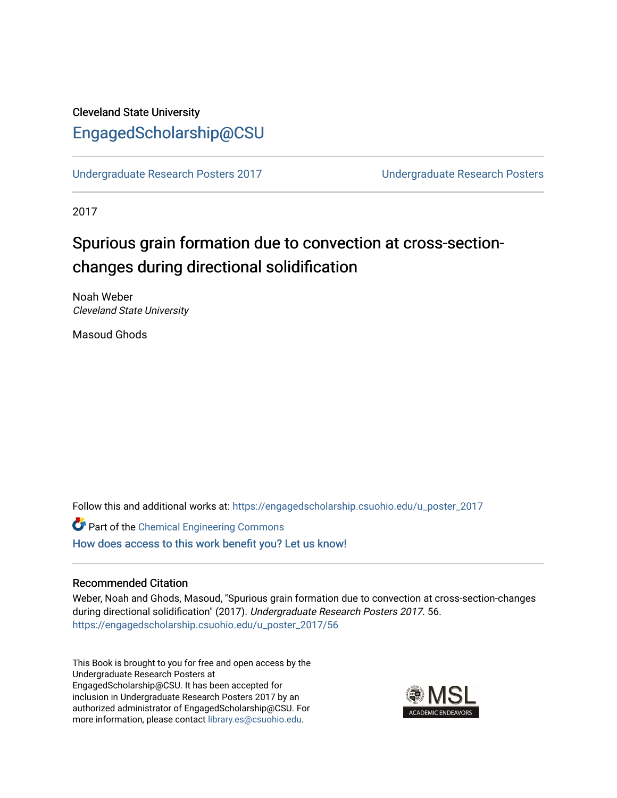### Cleveland State University [EngagedScholarship@CSU](https://engagedscholarship.csuohio.edu/)

[Undergraduate Research Posters 2017](https://engagedscholarship.csuohio.edu/u_poster_2017) [Undergraduate Research Posters](https://engagedscholarship.csuohio.edu/u_poster) 

2017

# Spurious grain formation due to convection at cross-sectionchanges during directional solidification

Noah Weber Cleveland State University

Masoud Ghods

Follow this and additional works at: [https://engagedscholarship.csuohio.edu/u\\_poster\\_2017](https://engagedscholarship.csuohio.edu/u_poster_2017?utm_source=engagedscholarship.csuohio.edu%2Fu_poster_2017%2F56&utm_medium=PDF&utm_campaign=PDFCoverPages) 

Part of the [Chemical Engineering Commons](http://network.bepress.com/hgg/discipline/240?utm_source=engagedscholarship.csuohio.edu%2Fu_poster_2017%2F56&utm_medium=PDF&utm_campaign=PDFCoverPages) [How does access to this work benefit you? Let us know!](http://library.csuohio.edu/engaged/)

#### Recommended Citation

Weber, Noah and Ghods, Masoud, "Spurious grain formation due to convection at cross-section-changes during directional solidification" (2017). Undergraduate Research Posters 2017. 56. [https://engagedscholarship.csuohio.edu/u\\_poster\\_2017/56](https://engagedscholarship.csuohio.edu/u_poster_2017/56?utm_source=engagedscholarship.csuohio.edu%2Fu_poster_2017%2F56&utm_medium=PDF&utm_campaign=PDFCoverPages) 

This Book is brought to you for free and open access by the Undergraduate Research Posters at EngagedScholarship@CSU. It has been accepted for inclusion in Undergraduate Research Posters 2017 by an authorized administrator of EngagedScholarship@CSU. For more information, please contact [library.es@csuohio.edu](mailto:library.es@csuohio.edu).